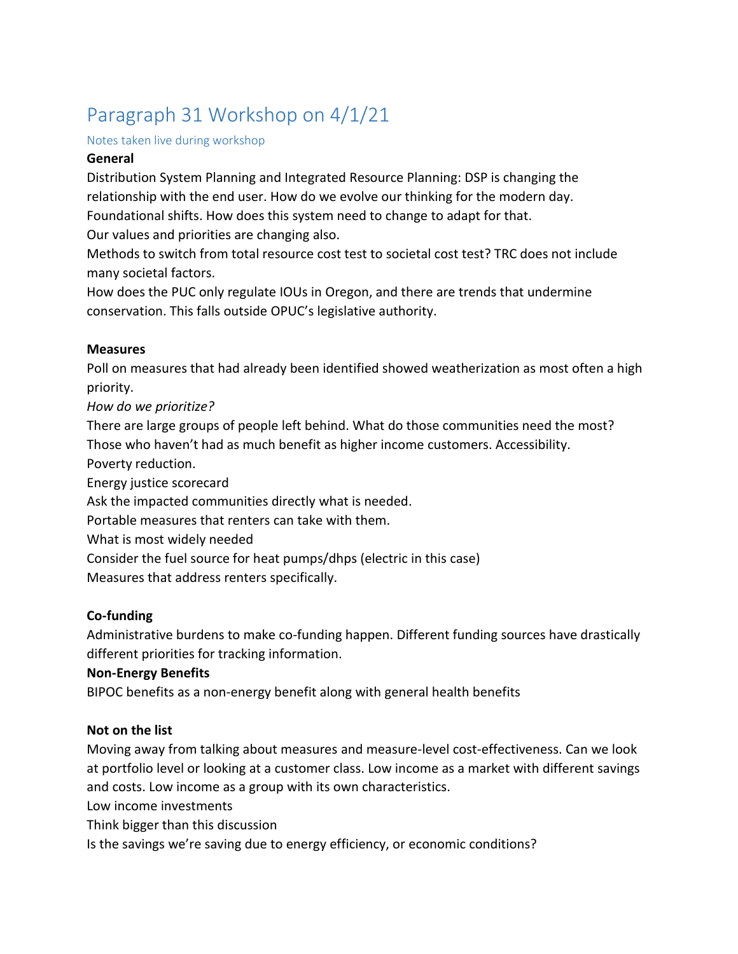# Paragraph 31 Workshop on 4/1/21

#### Notes taken live during workshop

#### **General**

Distribution System Planning and Integrated Resource Planning: DSP is changing the relationship with the end user. How do we evolve our thinking for the modern day. Foundational shifts. How does this system need to change to adapt for that.

Our values and priorities are changing also.

Methods to switch from total resource cost test to societal cost test? TRC does not include many societal factors.

How does the PUC only regulate IOUs in Oregon, and there are trends that undermine conservation. This falls outside OPUC's legislative authority.

#### **Measures**

Poll on measures that had already been identified showed weatherization as most often a high priority.

# *How do we prioritize?*

There are large groups of people left behind. What do those communities need the most? Those who haven't had as much benefit as higher income customers. Accessibility. Poverty reduction.

Energy justice scorecard

Ask the impacted communities directly what is needed.

Portable measures that renters can take with them.

What is most widely needed

Consider the fuel source for heat pumps/dhps (electric in this case)

Measures that address renters specifically.

# **Co-funding**

Administrative burdens to make co-funding happen. Different funding sources have drastically different priorities for tracking information.

# **Non-Energy Benefits**

BIPOC benefits as a non-energy benefit along with general health benefits

# **Not on the list**

Moving away from talking about measures and measure-level cost-effectiveness. Can we look at portfolio level or looking at a customer class. Low income as a market with different savings and costs. Low income as a group with its own characteristics.

Low income investments

Think bigger than this discussion

Is the savings we're saving due to energy efficiency, or economic conditions?